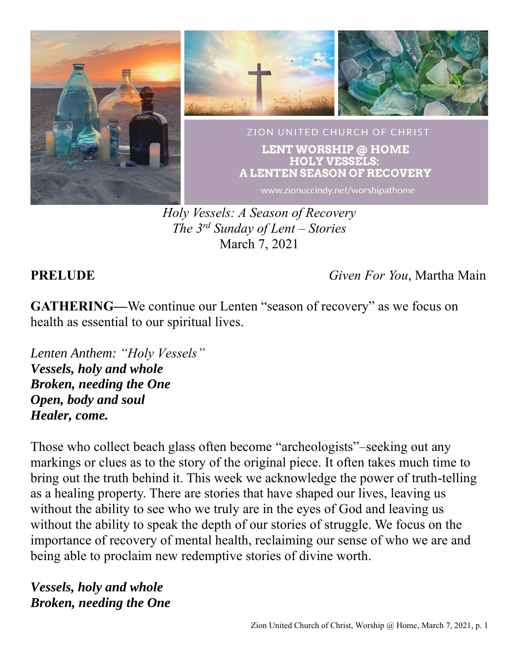

*Holy Vessels: A Season of Recovery The 3 rd Sunday of Lent – Stories* March 7, 2021

**PRELUDE** *Given For You*, Martha Main

**GATHERING—**We continue our Lenten "season of recovery" as we focus on health as essential to our spiritual lives.

*Lenten Anthem: "Holy Vessels" Vessels, holy and whole Broken, needing the One Open, body and soul Healer, come.*

Those who collect beach glass often become "archeologists"–seeking out any markings or clues as to the story of the original piece. It often takes much time to bring out the truth behind it. This week we acknowledge the power of truth-telling as a healing property. There are stories that have shaped our lives, leaving us without the ability to see who we truly are in the eyes of God and leaving us without the ability to speak the depth of our stories of struggle. We focus on the importance of recovery of mental health, reclaiming our sense of who we are and being able to proclaim new redemptive stories of divine worth.

*Vessels, holy and whole Broken, needing the One*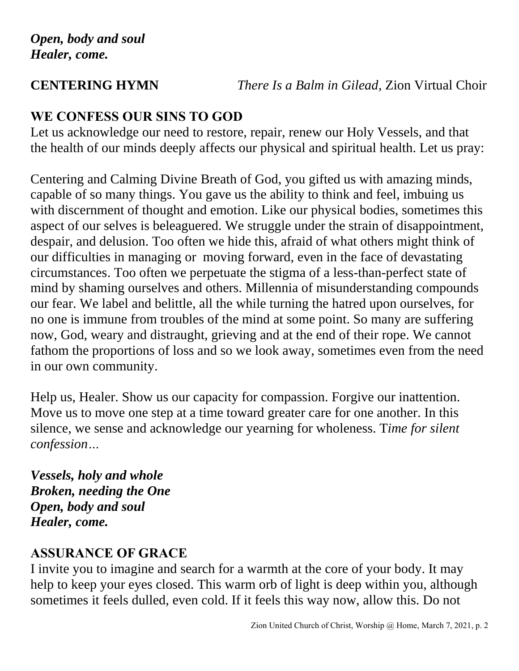**CENTERING HYMN** *There Is a Balm in Gilead,* Zion Virtual Choir

# **WE CONFESS OUR SINS TO GOD**

Let us acknowledge our need to restore, repair, renew our Holy Vessels, and that the health of our minds deeply affects our physical and spiritual health. Let us pray:

Centering and Calming Divine Breath of God, you gifted us with amazing minds, capable of so many things. You gave us the ability to think and feel, imbuing us with discernment of thought and emotion. Like our physical bodies, sometimes this aspect of our selves is beleaguered. We struggle under the strain of disappointment, despair, and delusion. Too often we hide this, afraid of what others might think of our difficulties in managing or moving forward, even in the face of devastating circumstances. Too often we perpetuate the stigma of a less-than-perfect state of mind by shaming ourselves and others. Millennia of misunderstanding compounds our fear. We label and belittle, all the while turning the hatred upon ourselves, for no one is immune from troubles of the mind at some point. So many are suffering now, God, weary and distraught, grieving and at the end of their rope. We cannot fathom the proportions of loss and so we look away, sometimes even from the need in our own community.

Help us, Healer. Show us our capacity for compassion. Forgive our inattention. Move us to move one step at a time toward greater care for one another. In this silence, we sense and acknowledge our yearning for wholeness. T*ime for silent confession…*

*Vessels, holy and whole Broken, needing the One Open, body and soul Healer, come.*

# **ASSURANCE OF GRACE**

I invite you to imagine and search for a warmth at the core of your body. It may help to keep your eyes closed. This warm orb of light is deep within you, although sometimes it feels dulled, even cold. If it feels this way now, allow this. Do not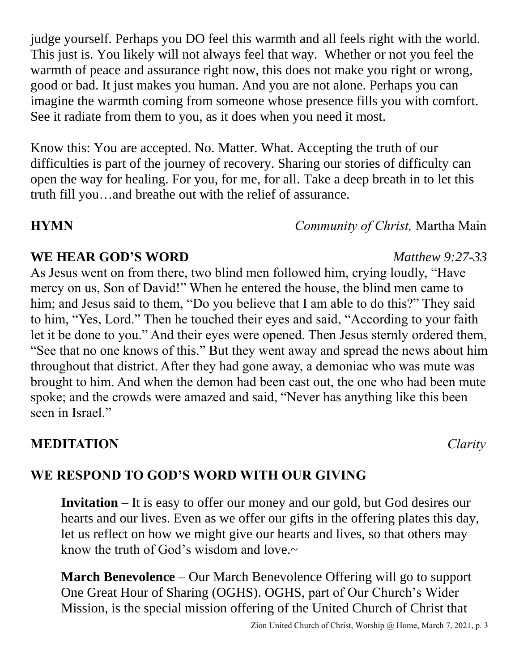judge yourself. Perhaps you DO feel this warmth and all feels right with the world. This just is. You likely will not always feel that way. Whether or not you feel the warmth of peace and assurance right now, this does not make you right or wrong, good or bad. It just makes you human. And you are not alone. Perhaps you can imagine the warmth coming from someone whose presence fills you with comfort. See it radiate from them to you, as it does when you need it most.

Know this: You are accepted. No. Matter. What. Accepting the truth of our difficulties is part of the journey of recovery. Sharing our stories of difficulty can open the way for healing. For you, for me, for all. Take a deep breath in to let this truth fill you…and breathe out with the relief of assurance.

**HYMN** *Community of Christ,* Martha Main

### **WE HEAR GOD'S WORD** *Matthew 9:27-33*

As Jesus went on from there, two blind men followed him, crying loudly, "Have mercy on us, Son of David!" When he entered the house, the blind men came to him; and Jesus said to them, "Do you believe that I am able to do this?" They said to him, "Yes, Lord." Then he touched their eyes and said, "According to your faith let it be done to you." And their eyes were opened. Then Jesus sternly ordered them, "See that no one knows of this." But they went away and spread the news about him throughout that district. After they had gone away, a demoniac who was mute was brought to him. And when the demon had been cast out, the one who had been mute spoke; and the crowds were amazed and said, "Never has anything like this been seen in Israel."

### **MEDITATION** *Clarity*

# **WE RESPOND TO GOD'S WORD WITH OUR GIVING**

**Invitation – It is easy to offer our money and our gold, but God desires our** hearts and our lives. Even as we offer our gifts in the offering plates this day, let us reflect on how we might give our hearts and lives, so that others may know the truth of God's wisdom and love. $\sim$ 

**March Benevolence** – Our March Benevolence Offering will go to support One Great Hour of Sharing (OGHS). OGHS, part of Our Church's Wider Mission, is the special mission offering of the United Church of Christ that

Zion United Church of Christ, Worship @ Home, March 7, 2021, p. 3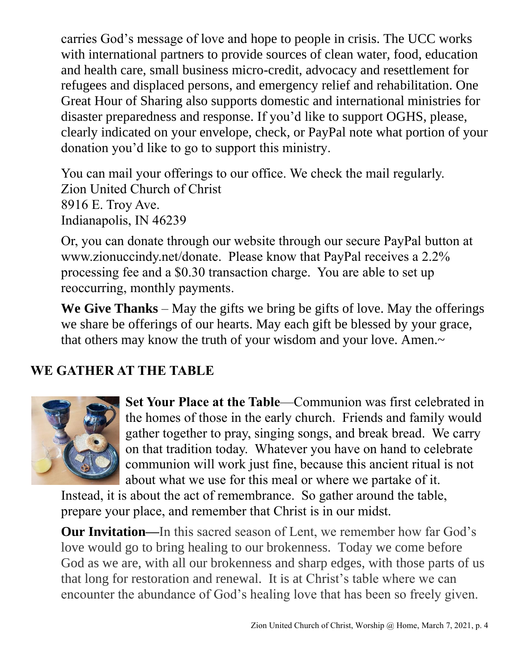carries God's message of love and hope to people in crisis. The UCC works with international partners to provide sources of clean water, food, education and health care, small business micro-credit, advocacy and resettlement for refugees and displaced persons, and emergency relief and rehabilitation. One Great Hour of Sharing also supports domestic and international ministries for disaster preparedness and response. If you'd like to support OGHS, please, clearly indicated on your envelope, check, or PayPal note what portion of your donation you'd like to go to support this ministry.

You can mail your offerings to our office. We check the mail regularly. Zion United Church of Christ 8916 E. Troy Ave. Indianapolis, IN 46239

Or, you can donate through our website through our secure PayPal button at www.zionuccindy.net/donate. Please know that PayPal receives a 2.2% processing fee and a \$0.30 transaction charge. You are able to set up reoccurring, monthly payments.

**We Give Thanks** – May the gifts we bring be gifts of love. May the offerings we share be offerings of our hearts. May each gift be blessed by your grace, that others may know the truth of your wisdom and your love. Amen.~

### **WE GATHER AT THE TABLE**



**Set Your Place at the Table**—Communion was first celebrated in the homes of those in the early church. Friends and family would gather together to pray, singing songs, and break bread. We carry on that tradition today. Whatever you have on hand to celebrate communion will work just fine, because this ancient ritual is not about what we use for this meal or where we partake of it.

Instead, it is about the act of remembrance. So gather around the table, prepare your place, and remember that Christ is in our midst.

**Our Invitation—**In this sacred season of Lent, we remember how far God's love would go to bring healing to our brokenness. Today we come before God as we are, with all our brokenness and sharp edges, with those parts of us that long for restoration and renewal. It is at Christ's table where we can encounter the abundance of God's healing love that has been so freely given.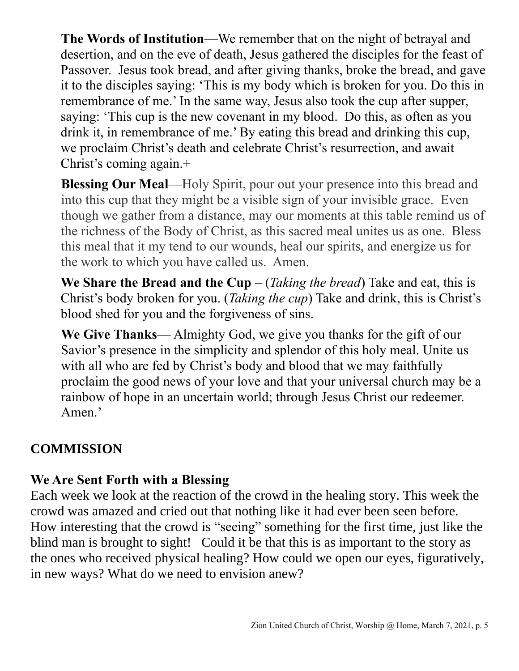**The Words of Institution**—We remember that on the night of betrayal and desertion, and on the eve of death, Jesus gathered the disciples for the feast of Passover. Jesus took bread, and after giving thanks, broke the bread, and gave it to the disciples saying: 'This is my body which is broken for you. Do this in remembrance of me.' In the same way, Jesus also took the cup after supper, saying: 'This cup is the new covenant in my blood. Do this, as often as you drink it, in remembrance of me.' By eating this bread and drinking this cup, we proclaim Christ's death and celebrate Christ's resurrection, and await Christ's coming again.+

**Blessing Our Meal**—Holy Spirit, pour out your presence into this bread and into this cup that they might be a visible sign of your invisible grace. Even though we gather from a distance, may our moments at this table remind us of the richness of the Body of Christ, as this sacred meal unites us as one. Bless this meal that it my tend to our wounds, heal our spirits, and energize us for the work to which you have called us. Amen.

**We Share the Bread and the Cup** – (*Taking the bread*) Take and eat, this is Christ's body broken for you. (*Taking the cup*) Take and drink, this is Christ's blood shed for you and the forgiveness of sins.

**We Give Thanks**— Almighty God, we give you thanks for the gift of our Savior's presence in the simplicity and splendor of this holy meal. Unite us with all who are fed by Christ's body and blood that we may faithfully proclaim the good news of your love and that your universal church may be a rainbow of hope in an uncertain world; through Jesus Christ our redeemer. Amen.'

### **COMMISSION**

# **We Are Sent Forth with a Blessing**

Each week we look at the reaction of the crowd in the healing story. This week the crowd was amazed and cried out that nothing like it had ever been seen before. How interesting that the crowd is "seeing" something for the first time, just like the blind man is brought to sight! Could it be that this is as important to the story as the ones who received physical healing? How could we open our eyes, figuratively, in new ways? What do we need to envision anew?